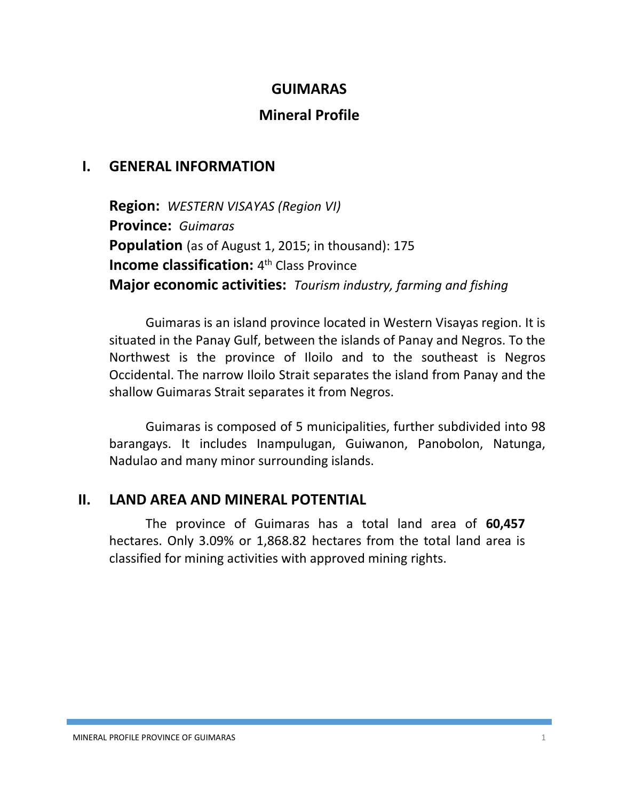#### **GUIMARAS**

## **Mineral Profile**

### **I. GENERAL INFORMATION**

**Region:** *WESTERN VISAYAS (Region VI)* **Province:** *Guimaras* **Population** (as of August 1, 2015; in thousand): 175 **Income classification:** 4<sup>th</sup> Class Province **Major economic activities:** *Tourism industry, farming and fishing*

Guimaras is an island province located in Western Visayas region. It is situated in the Panay Gulf, between the islands of Panay and Negros. To the Northwest is the province of Iloilo and to the southeast is Negros Occidental. The narrow Iloilo Strait separates the island from Panay and the shallow Guimaras Strait separates it from Negros.

Guimaras is composed of 5 municipalities, further subdivided into 98 barangays. It includes Inampulugan, Guiwanon, Panobolon, Natunga, Nadulao and many minor surrounding islands.

### **II. LAND AREA AND MINERAL POTENTIAL**

The province of Guimaras has a total land area of **60,457** hectares. Only 3.09% or 1,868.82 hectares from the total land area is classified for mining activities with approved mining rights.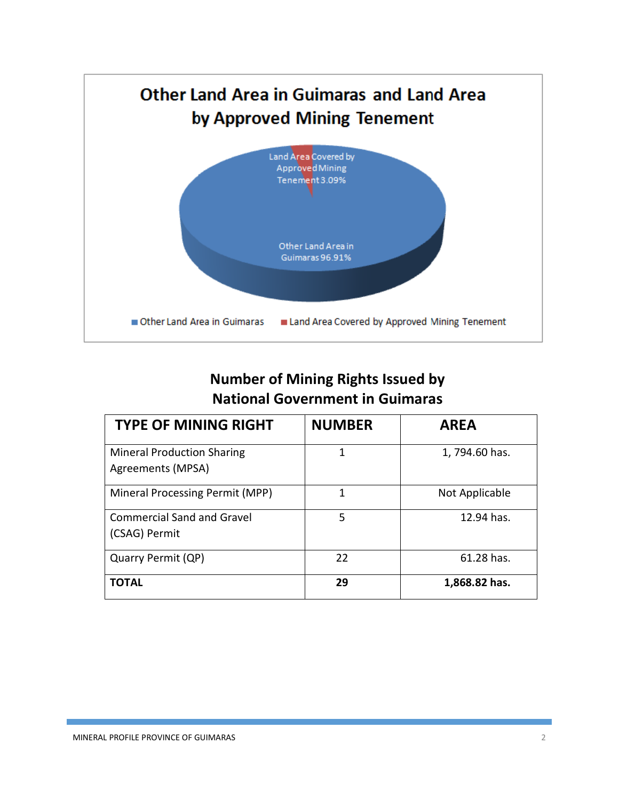

# **Number of Mining Rights Issued by National Government in Guimaras**

| <b>TYPE OF MINING RIGHT</b>                            | <b>NUMBER</b> | <b>AREA</b>    |
|--------------------------------------------------------|---------------|----------------|
| <b>Mineral Production Sharing</b><br>Agreements (MPSA) | 1             | 1,794.60 has.  |
| Mineral Processing Permit (MPP)                        | 1             | Not Applicable |
| <b>Commercial Sand and Gravel</b><br>(CSAG) Permit     | 5             | 12.94 has.     |
| Quarry Permit (QP)                                     | 22            | 61.28 has.     |
| <b>TOTAL</b>                                           | 29            | 1,868.82 has.  |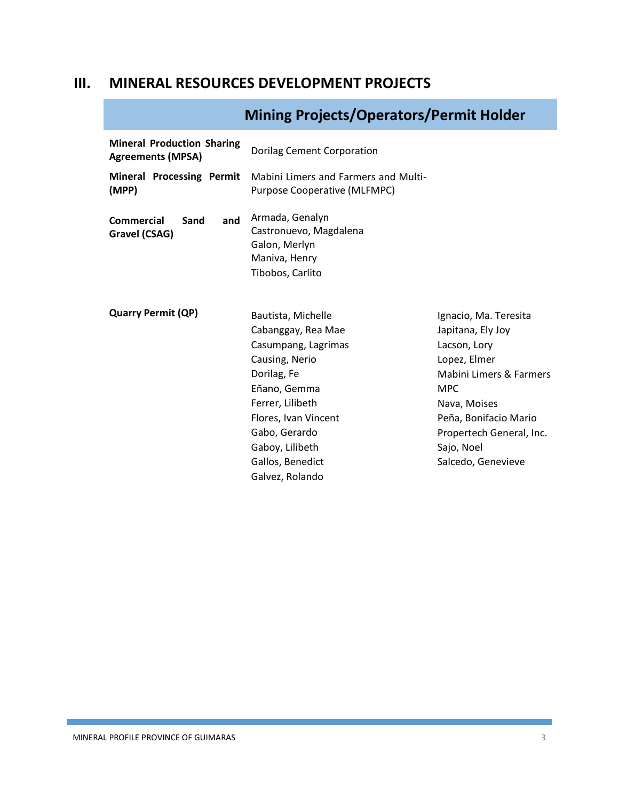### **III. MINERAL RESOURCES DEVELOPMENT PROJECTS**

# **Mining Projects/Operators/Permit Holder**

| Dorilag Cement Corporation                                                                                                                                                                       |                                                                                                                                                                                                                              |
|--------------------------------------------------------------------------------------------------------------------------------------------------------------------------------------------------|------------------------------------------------------------------------------------------------------------------------------------------------------------------------------------------------------------------------------|
| Mabini Limers and Farmers and Multi-<br><b>Purpose Cooperative (MLFMPC)</b>                                                                                                                      |                                                                                                                                                                                                                              |
| Armada, Genalyn<br>Castronuevo, Magdalena<br>Galon, Merlyn<br>Maniva, Henry<br>Tibobos, Carlito                                                                                                  |                                                                                                                                                                                                                              |
| Bautista, Michelle<br>Cabanggay, Rea Mae<br>Casumpang, Lagrimas<br>Causing, Nerio<br>Dorilag, Fe<br>Eñano, Gemma<br>Ferrer, Lilibeth<br>Flores, Ivan Vincent<br>Gabo, Gerardo<br>Gaboy, Lilibeth | Ignacio, Ma. Teresita<br>Japitana, Ely Joy<br>Lacson, Lory<br>Lopez, Elmer<br>Mabini Limers & Farmers<br><b>MPC</b><br>Nava, Moises<br>Peña, Bonifacio Mario<br>Propertech General, Inc.<br>Sajo, Noel<br>Salcedo, Genevieve |
|                                                                                                                                                                                                  | Gallos, Benedict                                                                                                                                                                                                             |

Galvez, Rolando